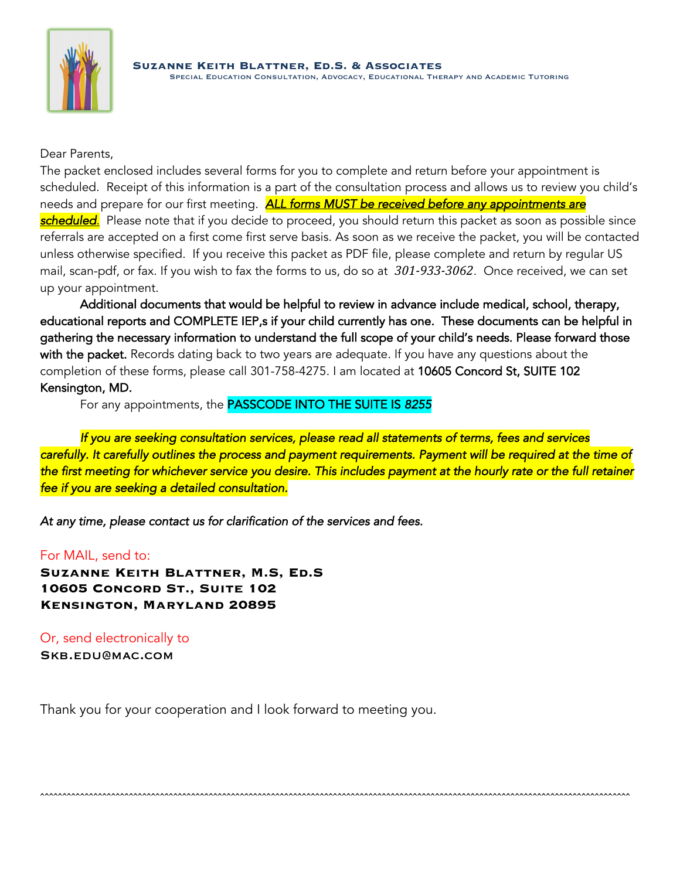

Dear Parents,

The packet enclosed includes several forms for you to complete and return before your appointment is scheduled. Receipt of this information is a part of the consultation process and allows us to review you child's needs and prepare for our first meeting. *ALL forms MUST be received before any appointments are scheduled*. Please note that if you decide to proceed, you should return this packet as soon as possible since referrals are accepted on a first come first serve basis. As soon as we receive the packet, you will be contacted unless otherwise specified. If you receive this packet as PDF file, please complete and return by regular US mail, scan-pdf, or fax. If you wish to fax the forms to us, do so at *301-933-3062*. Once received, we can set up your appointment.

Additional documents that would be helpful to review in advance include medical, school, therapy, educational reports and COMPLETE IEP,s if your child currently has one. These documents can be helpful in gathering the necessary information to understand the full scope of your child's needs. Please forward those with the packet. Records dating back to two years are adequate. If you have any questions about the completion of these forms, please call 301-758-4275. I am located at 10605 Concord St, SUITE 102 Kensington, MD.

For any appointments, the PASSCODE INTO THE SUITE IS *8255* 

 *If you are seeking consultation services, please read all statements of terms, fees and services carefully. It carefully outlines the process and payment requirements. Payment will be required at the time of the first meeting for whichever service you desire. This includes payment at the hourly rate or the full retainer fee if you are seeking a detailed consultation.* 

ˆˆˆˆˆˆˆˆˆˆˆˆˆˆˆˆˆˆˆˆˆˆˆˆˆˆˆˆˆˆˆˆˆˆˆˆˆˆˆˆˆˆˆˆˆˆˆˆˆˆˆˆˆˆˆˆˆˆˆˆˆˆˆˆˆˆˆˆˆˆˆˆˆˆˆˆˆˆˆˆˆˆˆˆˆˆˆˆˆˆˆˆˆˆˆˆˆˆˆˆˆˆˆˆˆˆˆˆˆˆˆˆˆˆˆˆˆˆˆˆˆˆˆˆˆˆˆˆˆˆˆˆˆ

*At any time, please contact us for clarification of the services and fees.*

## For MAIL, send to:

**Suzanne Keith Blattner, M.S, Ed.S 10605 Concord St., Suite 102 Kensington, Maryland 20895**

Or, send electronically to Skb.edu@mac.com

Thank you for your cooperation and I look forward to meeting you.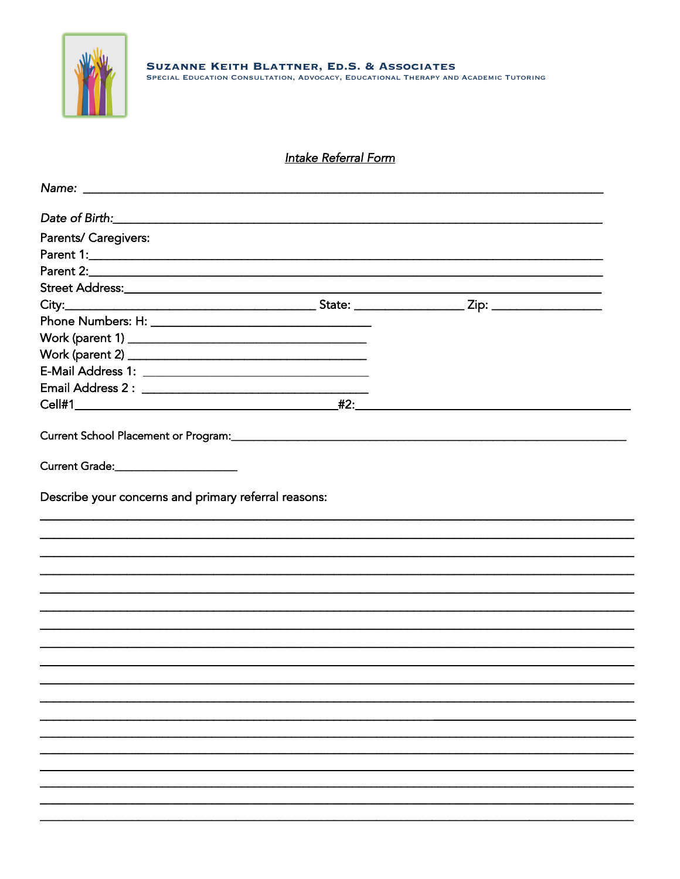

# **Intake Referral Form**

| Name: Name: Name: Name: Name: Name: Name: Name: Name: Name: Name: Name: Name: Name: Name: Name: Name: Name: Name: Name: Name: Name: Name: Name: Name: Name: Name: Name: Name: Name: Name: Name: Name: Name: Name: Name: Name: |  |  |
|-------------------------------------------------------------------------------------------------------------------------------------------------------------------------------------------------------------------------------|--|--|
|                                                                                                                                                                                                                               |  |  |
| Parents/ Caregivers:                                                                                                                                                                                                          |  |  |
|                                                                                                                                                                                                                               |  |  |
|                                                                                                                                                                                                                               |  |  |
|                                                                                                                                                                                                                               |  |  |
|                                                                                                                                                                                                                               |  |  |
|                                                                                                                                                                                                                               |  |  |
|                                                                                                                                                                                                                               |  |  |
|                                                                                                                                                                                                                               |  |  |
|                                                                                                                                                                                                                               |  |  |
|                                                                                                                                                                                                                               |  |  |
|                                                                                                                                                                                                                               |  |  |
|                                                                                                                                                                                                                               |  |  |
| Current Grade:______________________                                                                                                                                                                                          |  |  |
|                                                                                                                                                                                                                               |  |  |
|                                                                                                                                                                                                                               |  |  |
|                                                                                                                                                                                                                               |  |  |
|                                                                                                                                                                                                                               |  |  |
|                                                                                                                                                                                                                               |  |  |
|                                                                                                                                                                                                                               |  |  |
|                                                                                                                                                                                                                               |  |  |
|                                                                                                                                                                                                                               |  |  |
|                                                                                                                                                                                                                               |  |  |
|                                                                                                                                                                                                                               |  |  |
|                                                                                                                                                                                                                               |  |  |
|                                                                                                                                                                                                                               |  |  |
|                                                                                                                                                                                                                               |  |  |
|                                                                                                                                                                                                                               |  |  |
|                                                                                                                                                                                                                               |  |  |
|                                                                                                                                                                                                                               |  |  |
|                                                                                                                                                                                                                               |  |  |
|                                                                                                                                                                                                                               |  |  |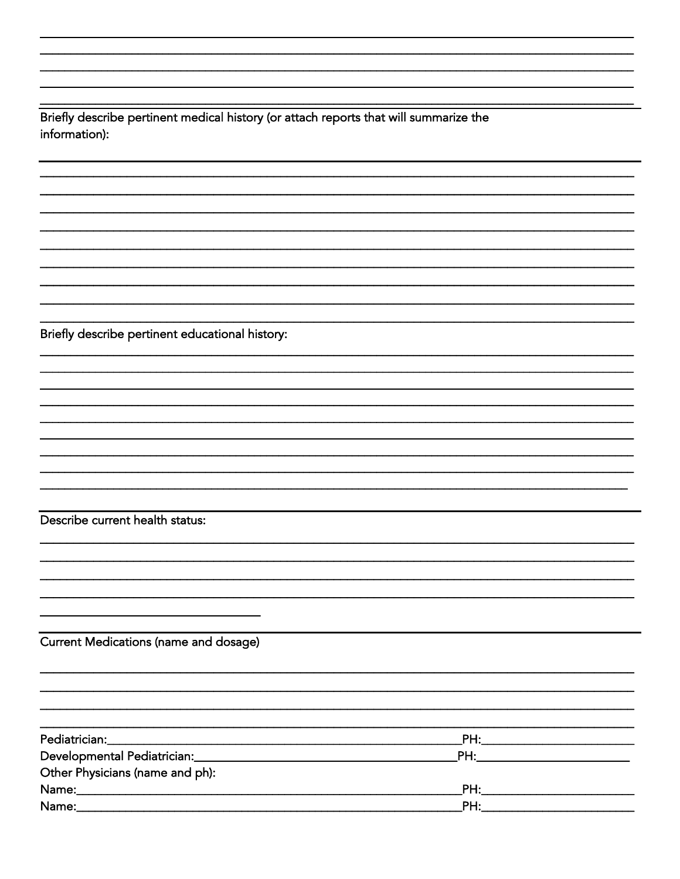Briefly describe pertinent medical history (or attach reports that will summarize the information):

Briefly describe pertinent educational history:

Describe current health status:

Current Medications (name and dosage)

|                                 | _PH:____________________________                                                                                                                                                                                                    |  |
|---------------------------------|-------------------------------------------------------------------------------------------------------------------------------------------------------------------------------------------------------------------------------------|--|
|                                 |                                                                                                                                                                                                                                     |  |
| Other Physicians (name and ph): |                                                                                                                                                                                                                                     |  |
|                                 |                                                                                                                                                                                                                                     |  |
|                                 | <b>PH:</b> The contract of the contract of the contract of the contract of the contract of the contract of the contract of the contract of the contract of the contract of the contract of the contract of the contract of the cont |  |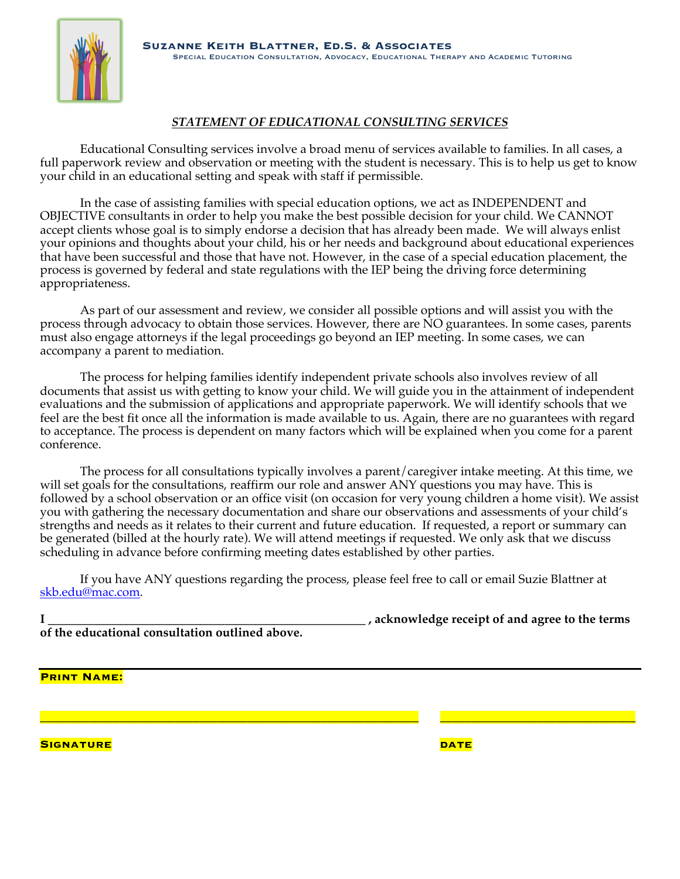

### *STATEMENT OF EDUCATIONAL CONSULTING SERVICES*

Educational Consulting services involve a broad menu of services available to families. In all cases, a full paperwork review and observation or meeting with the student is necessary. This is to help us get to know your child in an educational setting and speak with staff if permissible.

In the case of assisting families with special education options, we act as INDEPENDENT and OBJECTIVE consultants in order to help you make the best possible decision for your child. We CANNOT accept clients whose goal is to simply endorse a decision that has already been made. We will always enlist your opinions and thoughts about your child, his or her needs and background about educational experiences that have been successful and those that have not. However, in the case of a special education placement, the process is governed by federal and state regulations with the IEP being the driving force determining appropriateness.

As part of our assessment and review, we consider all possible options and will assist you with the process through advocacy to obtain those services. However, there are NO guarantees. In some cases, parents must also engage attorneys if the legal proceedings go beyond an IEP meeting. In some cases, we can accompany a parent to mediation.

The process for helping families identify independent private schools also involves review of all documents that assist us with getting to know your child. We will guide you in the attainment of independent evaluations and the submission of applications and appropriate paperwork. We will identify schools that we feel are the best fit once all the information is made available to us. Again, there are no guarantees with regard to acceptance. The process is dependent on many factors which will be explained when you come for a parent conference.

The process for all consultations typically involves a parent/caregiver intake meeting. At this time, we will set goals for the consultations, reaffirm our role and answer ANY questions you may have. This is followed by a school observation or an office visit (on occasion for very young children a home visit). We assist you with gathering the necessary documentation and share our observations and assessments of your child's strengths and needs as it relates to their current and future education. If requested, a report or summary can be generated (billed at the hourly rate). We will attend meetings if requested. We only ask that we discuss scheduling in advance before confirming meeting dates established by other parties.

If you have ANY questions regarding the process, please feel free to call or email Suzie Blattner at skb.edu@mac.com.

|                                                 | , acknowledge receipt of and agree to the terms |
|-------------------------------------------------|-------------------------------------------------|
| of the educational consultation outlined above. |                                                 |

\_\_\_\_\_\_\_\_\_\_\_\_\_\_\_\_\_\_\_\_\_\_\_\_\_\_\_\_\_\_\_\_\_\_\_\_\_\_\_\_\_\_\_\_\_\_\_\_\_\_\_\_\_\_\_\_\_\_\_\_\_\_ \_\_\_\_\_\_\_\_\_\_\_\_\_\_\_\_\_\_\_\_\_\_\_\_\_\_\_\_\_\_\_\_

**Print Name:**

**Signature date**

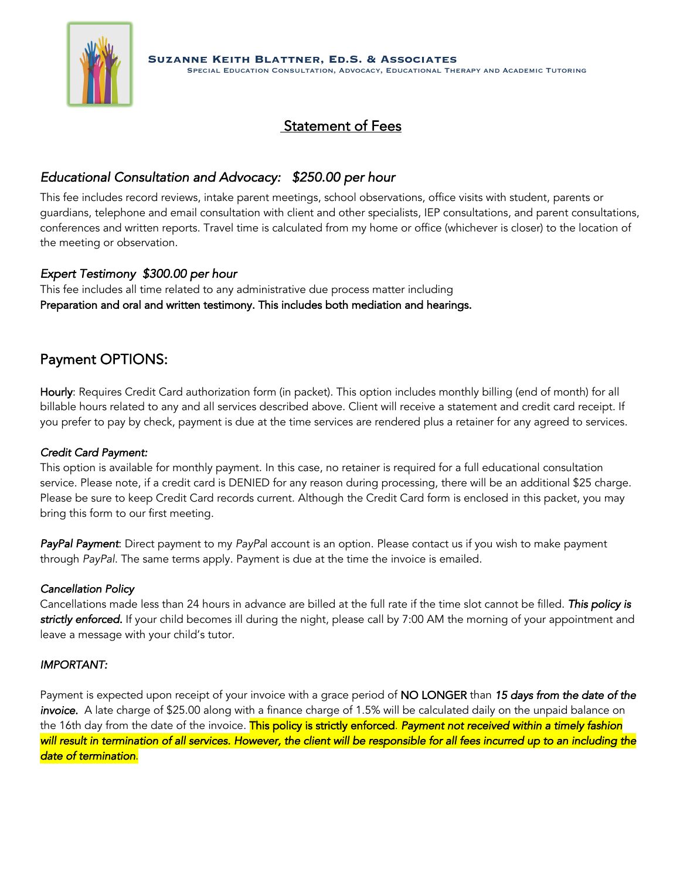

# Statement of Fees

## *Educational Consultation and Advocacy: \$250.00 per hour*

This fee includes record reviews, intake parent meetings, school observations, office visits with student, parents or guardians, telephone and email consultation with client and other specialists, IEP consultations, and parent consultations, conferences and written reports. Travel time is calculated from my home or office (whichever is closer) to the location of the meeting or observation.

### *Expert Testimony \$300.00 per hour*

This fee includes all time related to any administrative due process matter including Preparation and oral and written testimony. This includes both mediation and hearings.

# Payment OPTIONS:

Hourly: Requires Credit Card authorization form (in packet). This option includes monthly billing (end of month) for all billable hours related to any and all services described above. Client will receive a statement and credit card receipt. If you prefer to pay by check, payment is due at the time services are rendered plus a retainer for any agreed to services.

### *Credit Card Payment:*

This option is available for monthly payment. In this case, no retainer is required for a full educational consultation service. Please note, if a credit card is DENIED for any reason during processing, there will be an additional \$25 charge. Please be sure to keep Credit Card records current. Although the Credit Card form is enclosed in this packet, you may bring this form to our first meeting.

*PayPal Payment*: Direct payment to my *PayPa*l account is an option. Please contact us if you wish to make payment through *PayPal*. The same terms apply. Payment is due at the time the invoice is emailed.

#### *Cancellation Policy*

Cancellations made less than 24 hours in advance are billed at the full rate if the time slot cannot be filled. *This policy is strictly enforced.* If your child becomes ill during the night, please call by 7:00 AM the morning of your appointment and leave a message with your child's tutor.

#### *IMPORTANT:*

Payment is expected upon receipt of your invoice with a grace period of NO LONGER than *15 days from the date of the invoice.* A late charge of \$25.00 along with a finance charge of 1.5% will be calculated daily on the unpaid balance on the 16th day from the date of the invoice. This policy is strictly enforced. *Payment not received within a timely fashion will result in termination of all services. However, the client will be responsible for all fees incurred up to an including the date of termination*.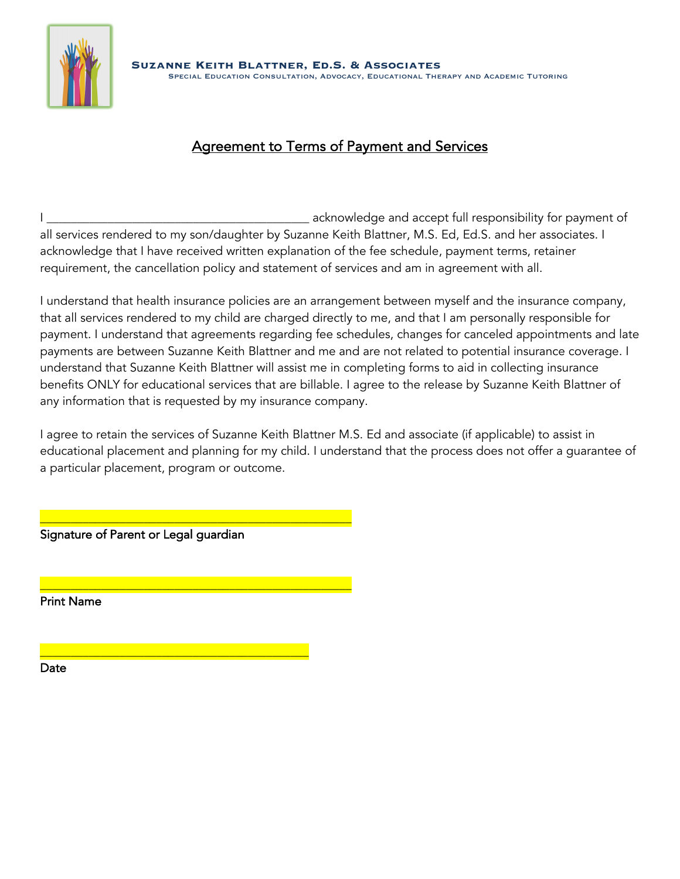

# Agreement to Terms of Payment and Services

 $\_$  acknowledge and accept full responsibility for payment of all services rendered to my son/daughter by Suzanne Keith Blattner, M.S. Ed, Ed.S. and her associates. I acknowledge that I have received written explanation of the fee schedule, payment terms, retainer requirement, the cancellation policy and statement of services and am in agreement with all.

I understand that health insurance policies are an arrangement between myself and the insurance company, that all services rendered to my child are charged directly to me, and that I am personally responsible for payment. I understand that agreements regarding fee schedules, changes for canceled appointments and late payments are between Suzanne Keith Blattner and me and are not related to potential insurance coverage. I understand that Suzanne Keith Blattner will assist me in completing forms to aid in collecting insurance benefits ONLY for educational services that are billable. I agree to the release by Suzanne Keith Blattner of any information that is requested by my insurance company.

I agree to retain the services of Suzanne Keith Blattner M.S. Ed and associate (if applicable) to assist in educational placement and planning for my child. I understand that the process does not offer a guarantee of a particular placement, program or outcome.

Signature of Parent or Legal guardian

\_\_\_\_\_\_\_\_\_\_\_\_\_\_\_\_\_\_\_\_\_\_\_\_\_\_\_\_\_\_\_\_\_\_\_\_\_\_\_\_\_\_\_\_\_\_\_\_\_\_\_

\_\_\_\_\_\_\_\_\_\_\_\_\_\_\_\_\_\_\_\_\_\_\_\_\_\_\_\_\_\_\_\_\_\_\_\_\_\_\_\_\_\_\_\_\_\_\_\_\_\_\_

\_\_\_\_\_\_\_\_\_\_\_\_\_\_\_\_\_\_\_\_\_\_\_\_\_\_\_\_\_\_\_\_\_\_\_\_\_\_\_\_\_\_\_\_

Print Name

Date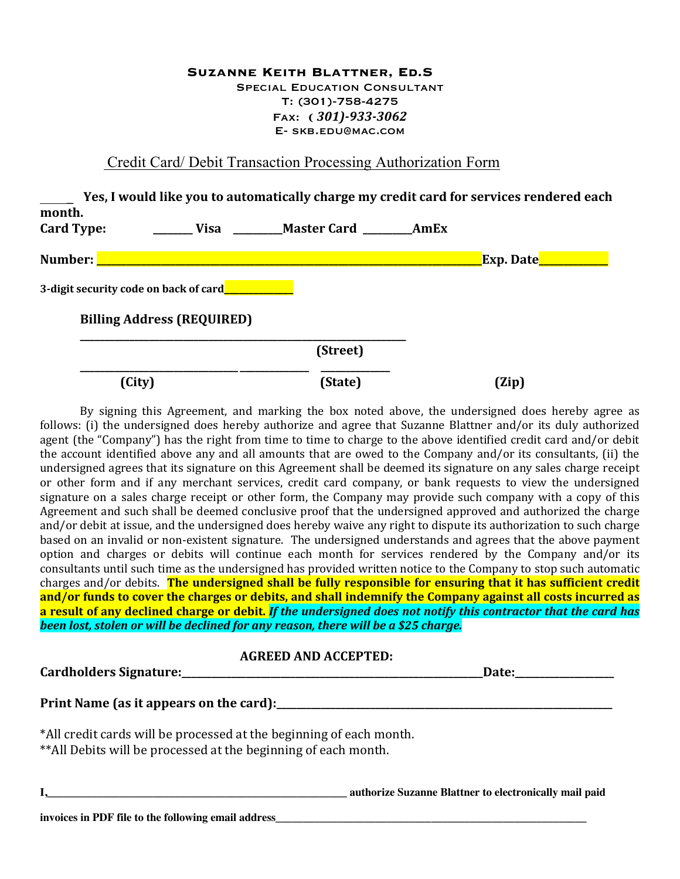#### **Suzanne Keith Blattner, Ed.S** Special Education Consultant T: (301)-758-4275 Fax: **(** *301)-933-3062* E- skb.edu@mac.com

### Credit Card/ Debit Transaction Processing Authorization Form

|                   |                                       |                    |      | Yes, I would like you to automatically charge my credit card for services rendered each |
|-------------------|---------------------------------------|--------------------|------|-----------------------------------------------------------------------------------------|
| month.            |                                       |                    |      |                                                                                         |
| <b>Card Type:</b> | Visa                                  | <b>Master Card</b> | AmEx |                                                                                         |
| Number:           |                                       |                    |      | Exp. Date <mark>_</mark>                                                                |
|                   | 3-digit security code on back of card |                    |      |                                                                                         |
|                   | <b>Billing Address (REQUIRED)</b>     |                    |      |                                                                                         |
|                   |                                       | (Street)           |      |                                                                                         |
|                   | (City)                                | (State)            |      | (Zip)                                                                                   |

By signing this Agreement, and marking the box noted above, the undersigned does hereby agree as follows: (i) the undersigned does hereby authorize and agree that Suzanne Blattner and/or its duly authorized agent (the "Company") has the right from time to time to charge to the above identified credit card and/or debit the account identified above any and all amounts that are owed to the Company and/or its consultants, (ii) the undersigned agrees that its signature on this Agreement shall be deemed its signature on any sales charge receipt or other form and if any merchant services, credit card company, or bank requests to view the undersigned signature on a sales charge receipt or other form, the Company may provide such company with a copy of this Agreement and such shall be deemed conclusive proof that the undersigned approved and authorized the charge and/or debit at issue, and the undersigned does hereby waive any right to dispute its authorization to such charge based on an invalid or non-existent signature. The undersigned understands and agrees that the above payment option and charges or debits will continue each month for services rendered by the Company and/or its consultants until such time as the undersigned has provided written notice to the Company to stop such automatic charges and/or debits. The undersigned shall be fully responsible for ensuring that it has sufficient credit and/or funds to cover the charges or debits, and shall indemnify the Company against all costs incurred as a result of any declined charge or debit. *If the undersigned does not notify this contractor that the card has been lost, stolen or will be declined for any reason, there will be a \$25 charge.* 

#### **AGREED AND ACCEPTED:**

| *All credit cards will be processed at the beginning of each month.<br>** All Debits will be processed at the beginning of each month. |                                                        |
|----------------------------------------------------------------------------------------------------------------------------------------|--------------------------------------------------------|
|                                                                                                                                        | authorize Suzanne Blattner to electronically mail paid |
| invoices in PDF file to the following email address                                                                                    |                                                        |